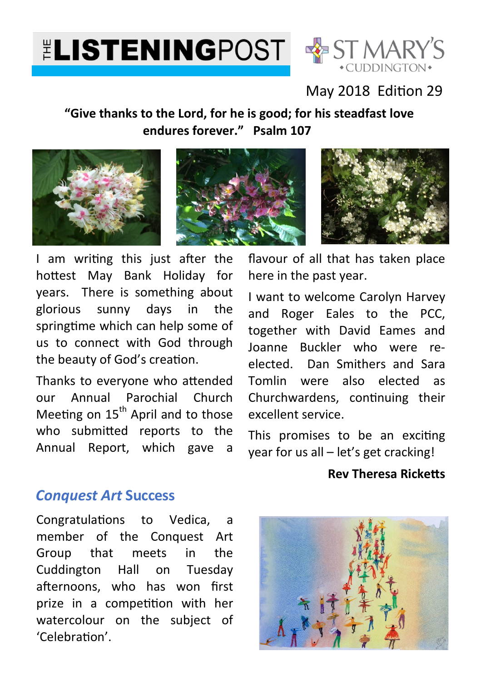# **ELISTENINGPOST & ST MARY'S**



# May 2018 Edition 29

## **"Give thanks to the Lord, for he is good; for his steadfast love endures forever." Psalm 107**







I am writing this just after the hottest May Bank Holiday for years. There is something about glorious sunny days in the springtime which can help some of us to connect with God through the beauty of God's creation.

Thanks to everyone who attended our Annual Parochial Church Meeting on  $15<sup>th</sup>$  April and to those who submitted reports to the Annual Report, which gave a

flavour of all that has taken place here in the past year.

I want to welcome Carolyn Harvey and Roger Eales to the PCC, together with David Eames and Joanne Buckler who were reelected. Dan Smithers and Sara Tomlin were also elected as Churchwardens, continuing their excellent service.

This promises to be an exciting year for us all – let's get cracking!

#### **Rev Theresa Ricketts**

## *Conquest Art* **Success**

Congratulations to Vedica, a member of the Conquest Art Group that meets in the Cuddington Hall on Tuesday afternoons, who has won first prize in a competition with her watercolour on the subject of 'Celebration'.

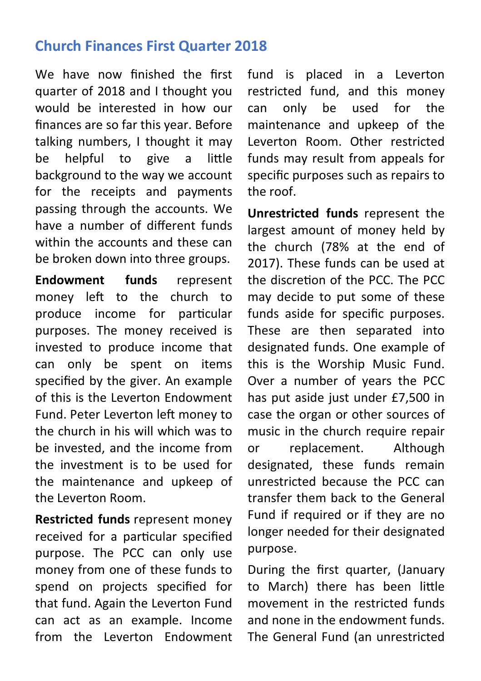# **Church Finances First Quarter 2018**

We have now finished the first quarter of 2018 and I thought you would be interested in how our finances are so far this year. Before talking numbers, I thought it may be helpful to give a little background to the way we account for the receipts and payments passing through the accounts. We have a number of different funds within the accounts and these can be broken down into three groups.

**Endowment funds** represent money left to the church to produce income for particular purposes. The money received is invested to produce income that can only be spent on items specified by the giver. An example of this is the Leverton Endowment Fund. Peter Leverton left money to the church in his will which was to be invested, and the income from the investment is to be used for the maintenance and upkeep of the Leverton Room.

**Restricted funds** represent money received for a particular specified purpose. The PCC can only use money from one of these funds to spend on projects specified for that fund. Again the Leverton Fund can act as an example. Income from the Leverton Endowment fund is placed in a Leverton restricted fund, and this money can only be used for the maintenance and upkeep of the Leverton Room. Other restricted funds may result from appeals for specific purposes such as repairs to the roof.

**Unrestricted funds** represent the largest amount of money held by the church (78% at the end of 2017). These funds can be used at the discretion of the PCC. The PCC may decide to put some of these funds aside for specific purposes. These are then separated into designated funds. One example of this is the Worship Music Fund. Over a number of years the PCC has put aside just under £7,500 in case the organ or other sources of music in the church require repair or replacement. Although designated, these funds remain unrestricted because the PCC can transfer them back to the General Fund if required or if they are no longer needed for their designated purpose.

During the first quarter, (January to March) there has been little movement in the restricted funds and none in the endowment funds. The General Fund (an unrestricted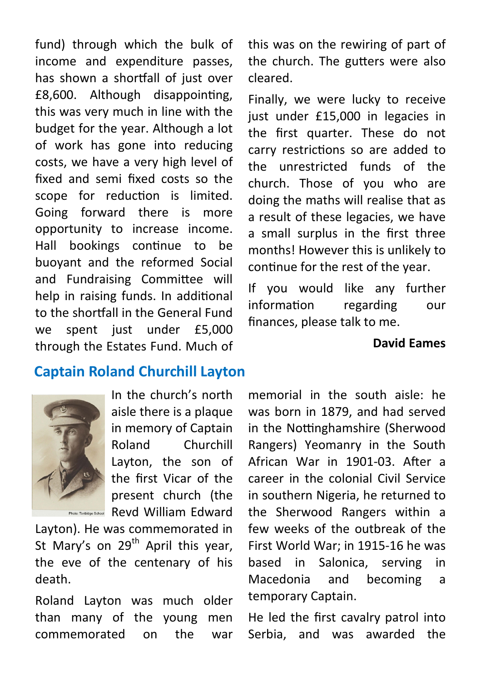fund) through which the bulk of income and expenditure passes, has shown a shortfall of just over £8,600. Although disappointing, this was very much in line with the budget for the year. Although a lot of work has gone into reducing costs, we have a very high level of fixed and semi fixed costs so the scope for reduction is limited. Going forward there is more opportunity to increase income. Hall bookings continue to be buoyant and the reformed Social and Fundraising Committee will help in raising funds. In additional to the shortfall in the General Fund we spent just under £5,000 through the Estates Fund. Much of

## **Captain Roland Churchill Layton**



In the church's north aisle there is a plaque in memory of Captain Roland Churchill Layton, the son of the first Vicar of the present church (the **Photo: Tonbidge School** Revd William Edward

Layton). He was commemorated in St Mary's on  $29<sup>th</sup>$  April this year, the eve of the centenary of his death.

Roland Layton was much older than many of the young men commemorated on the war

this was on the rewiring of part of the church. The gutters were also cleared.

Finally, we were lucky to receive just under £15,000 in legacies in the first quarter. These do not carry restrictions so are added to the unrestricted funds of the church. Those of you who are doing the maths will realise that as a result of these legacies, we have a small surplus in the first three months! However this is unlikely to continue for the rest of the year.

If you would like any further information regarding our finances, please talk to me.

#### **David Eames**

memorial in the south aisle: he was born in 1879, and had served in the Nottinghamshire (Sherwood Rangers) Yeomanry in the South African War in 1901-03. After a career in the colonial Civil Service in southern Nigeria, he returned to the Sherwood Rangers within a few weeks of the outbreak of the First World War; in 1915-16 he was based in Salonica, serving in Macedonia and becoming a temporary Captain.

He led the first cavalry patrol into Serbia, and was awarded the